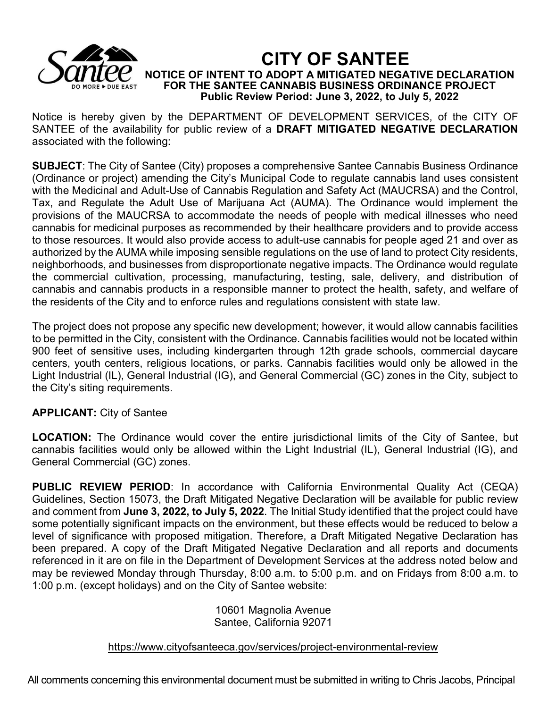

**CITY OF SANTEE NOTICE OF INTENT TO ADOPT A MITIGATED NEGATIVE DECLARATION FOR THE SANTEE CANNABIS BUSINESS ORDINANCE PROJECT Public Review Period: June 3, 2022, to July 5, 2022**

Notice is hereby given by the DEPARTMENT OF DEVELOPMENT SERVICES, of the CITY OF SANTEE of the availability for public review of a **DRAFT MITIGATED NEGATIVE DECLARATION**  associated with the following:

**SUBJECT**: The City of Santee (City) proposes a comprehensive Santee Cannabis Business Ordinance (Ordinance or project) amending the City's Municipal Code to regulate cannabis land uses consistent with the Medicinal and Adult-Use of Cannabis Regulation and Safety Act (MAUCRSA) and the Control, Tax, and Regulate the Adult Use of Marijuana Act (AUMA). The Ordinance would implement the provisions of the MAUCRSA to accommodate the needs of people with medical illnesses who need cannabis for medicinal purposes as recommended by their healthcare providers and to provide access to those resources. It would also provide access to adult-use cannabis for people aged 21 and over as authorized by the AUMA while imposing sensible regulations on the use of land to protect City residents, neighborhoods, and businesses from disproportionate negative impacts. The Ordinance would regulate the commercial cultivation, processing, manufacturing, testing, sale, delivery, and distribution of cannabis and cannabis products in a responsible manner to protect the health, safety, and welfare of the residents of the City and to enforce rules and regulations consistent with state law.

The project does not propose any specific new development; however, it would allow cannabis facilities to be permitted in the City, consistent with the Ordinance. Cannabis facilities would not be located within 900 feet of sensitive uses, including kindergarten through 12th grade schools, commercial daycare centers, youth centers, religious locations, or parks. Cannabis facilities would only be allowed in the Light Industrial (IL), General Industrial (IG), and General Commercial (GC) zones in the City, subject to the City's siting requirements.

## **APPLICANT:** City of Santee

**LOCATION:** The Ordinance would cover the entire jurisdictional limits of the City of Santee, but cannabis facilities would only be allowed within the Light Industrial (IL), General Industrial (IG), and General Commercial (GC) zones.

**PUBLIC REVIEW PERIOD**: In accordance with California Environmental Quality Act (CEQA) Guidelines, Section 15073, the Draft Mitigated Negative Declaration will be available for public review and comment from **June 3, 2022, to July 5, 2022**. The Initial Study identified that the project could have some potentially significant impacts on the environment, but these effects would be reduced to below a level of significance with proposed mitigation. Therefore, a Draft Mitigated Negative Declaration has been prepared. A copy of the Draft Mitigated Negative Declaration and all reports and documents referenced in it are on file in the Department of Development Services at the address noted below and may be reviewed Monday through Thursday, 8:00 a.m. to 5:00 p.m. and on Fridays from 8:00 a.m. to 1:00 p.m. (except holidays) and on the City of Santee website:

## 10601 Magnolia Avenue Santee, California 92071

https://www.cityofsanteeca.gov/services/project-environmental-review